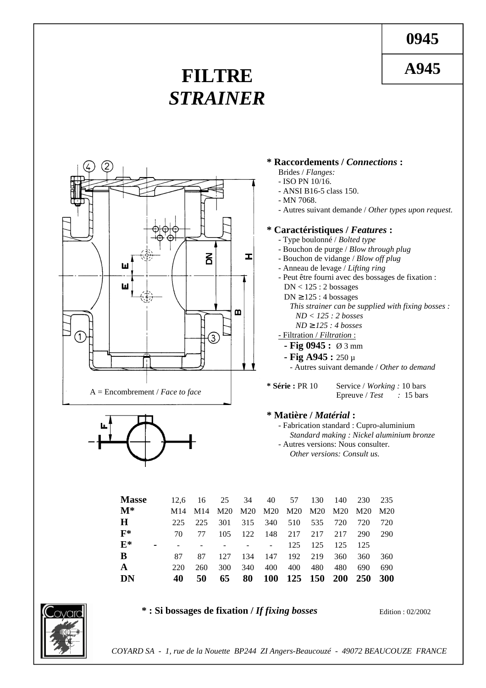



**Masse** 12,6 16 25 34 40 57 130 140 230 235 **M\*** M14 M14 M20 M20 M20 M20 M20 M20 M20 M20 **H** 225 225 301 315 340 510 535 720 720 720 **F\*** 70 77 105 122 148 217 217 217 290 290 **E\* -** - - - - - 125 125 125 125 **B** 87 87 127 134 147 192 219 360 360 360 **A** 220 260 300 340 400 400 480 480 690 690 **DN 40 50 65 80 100 125 150 200 250 300**

**\* : Si bossages de fixation /** *If fixing bosses*

Edition : 02/2002

 *COYARD SA - 1, rue de la Nouette BP244 ZI Angers-Beaucouzé - 49072 BEAUCOUZE FRANCE*

- Autres versions: Nous consulter. *Other versions: Consult us.*